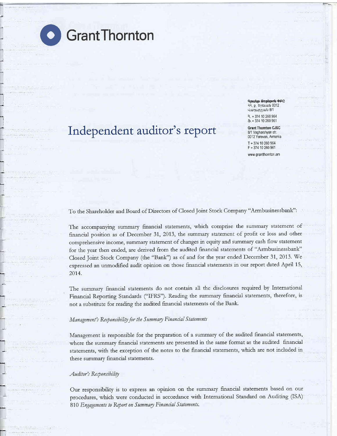I

# **O** GrantThornton

# Independent auditor's report

**Anuup Gnnupnu OCC** 13, p. bpbLwu 0012 .{uur1tup21LrL 8/'1 t. + 374 10 260 964

+ 374 10 260 961

Grant Thornton CJSC 8/1 Vagharshyan str. 0012 Yerevan, Armenia T + 374 10 260 964 F+37410260961

www.grantthornton.am

To the Shareholder and Board of Directors of Closed Joint Stock Company "Armbusinessbank":

The accompanying summary financial statements, which comprise the summary statement of financial position as of December 31, 2013, the summary statement of profit or loss and other comprehensive income, summary statement of changes in equity and summary cash flow statement for the year then ended, are derived from the audited financial statements of "Armbusinessbank" Closed Joint Stock Company (the "Bank") as of and for the year ended December 31, 2013. We expressed an unmodified audit opinion on those financial statements in our report dated April 15, 2014.

The summary financial statements do not contain all the disclosures required by International Financial Reporting Standards ("IFRS"). Reading the summary financial statements, therefore, is not a substitute for reading the audited financial statements of the Bank.

#### Management's Responsibility for the Summary Financial Statements

Management is responsible for the preparation of a summary of the audited financial statements, where the summary financial statements are presented in the same format as the audited financial statements, with the exception of the notes to the financial statements, which ate not included in these summary financial statements.

#### Auditor's Responsibility

Our responsibility is to express an opinion on the summary financial statements based on our procedures, which were conducted in accordance with International Standard on Auditing (ISA) 810 Engagements to Report on Summary Financial Statements.

r-